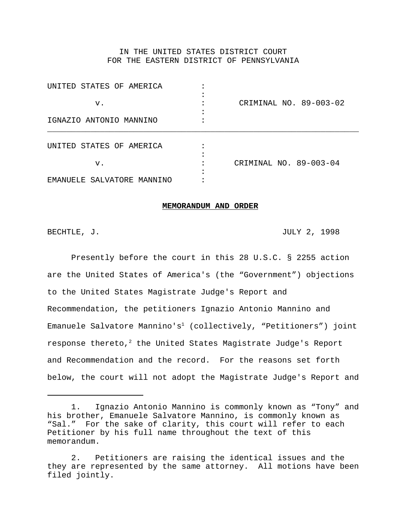# IN THE UNITED STATES DISTRICT COURT FOR THE EASTERN DISTRICT OF PENNSYLVANIA

| UNITED STATES OF AMERICA   |                        |
|----------------------------|------------------------|
| v.                         | CRIMINAL NO. 89-003-02 |
| IGNAZIO ANTONIO MANNINO    |                        |
| UNITED STATES OF AMERICA   |                        |
| v.                         | CRIMINAL NO. 89-003-04 |
| EMANUELE SALVATORE MANNINO |                        |

#### **MEMORANDUM AND ORDER**

BECHTLE, J. 2008. THE SECHTLE SECRET IS A SECRET LEADER OF A STRIKE SECRET IS A STRIKE SECRET IS A STRIKE SECRET IS A STRIKE SECRET IS A STRIKE SECRET IS A STRIKE SECRET IS A STRIKE SECRET IS A STRIKE SECRET IS A STRIKE SE

Presently before the court in this 28 U.S.C. § 2255 action are the United States of America's (the "Government") objections to the United States Magistrate Judge's Report and Recommendation, the petitioners Ignazio Antonio Mannino and Emanuele Salvatore Mannino's<sup>1</sup> (collectively, "Petitioners") joint response thereto, $2$  the United States Magistrate Judge's Report and Recommendation and the record. For the reasons set forth below, the court will not adopt the Magistrate Judge's Report and

<sup>1.</sup> Ignazio Antonio Mannino is commonly known as "Tony" and his brother, Emanuele Salvatore Mannino, is commonly known as "Sal." For the sake of clarity, this court will refer to each Petitioner by his full name throughout the text of this memorandum.

<sup>2.</sup> Petitioners are raising the identical issues and the they are represented by the same attorney. All motions have been filed jointly.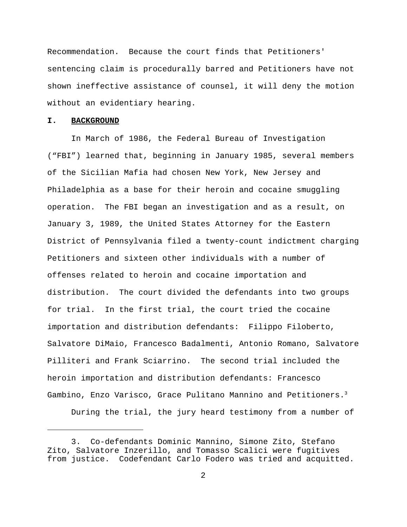Recommendation. Because the court finds that Petitioners' sentencing claim is procedurally barred and Petitioners have not shown ineffective assistance of counsel, it will deny the motion without an evidentiary hearing.

#### **I. BACKGROUND**

In March of 1986, the Federal Bureau of Investigation ("FBI") learned that, beginning in January 1985, several members of the Sicilian Mafia had chosen New York, New Jersey and Philadelphia as a base for their heroin and cocaine smuggling operation. The FBI began an investigation and as a result, on January 3, 1989, the United States Attorney for the Eastern District of Pennsylvania filed a twenty-count indictment charging Petitioners and sixteen other individuals with a number of offenses related to heroin and cocaine importation and distribution. The court divided the defendants into two groups for trial. In the first trial, the court tried the cocaine importation and distribution defendants: Filippo Filoberto, Salvatore DiMaio, Francesco Badalmenti, Antonio Romano, Salvatore Pilliteri and Frank Sciarrino. The second trial included the heroin importation and distribution defendants: Francesco Gambino, Enzo Varisco, Grace Pulitano Mannino and Petitioners.<sup>3</sup>

During the trial, the jury heard testimony from a number of

<sup>3.</sup> Co-defendants Dominic Mannino, Simone Zito, Stefano Zito, Salvatore Inzerillo, and Tomasso Scalici were fugitives from justice. Codefendant Carlo Fodero was tried and acquitted.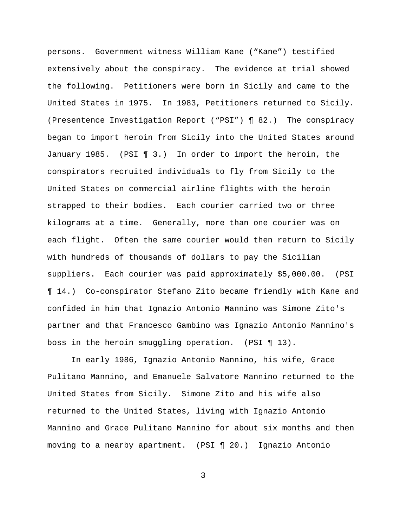persons. Government witness William Kane ("Kane") testified extensively about the conspiracy. The evidence at trial showed the following. Petitioners were born in Sicily and came to the United States in 1975. In 1983, Petitioners returned to Sicily. (Presentence Investigation Report ("PSI") ¶ 82.) The conspiracy began to import heroin from Sicily into the United States around January 1985. (PSI ¶ 3.) In order to import the heroin, the conspirators recruited individuals to fly from Sicily to the United States on commercial airline flights with the heroin strapped to their bodies. Each courier carried two or three kilograms at a time. Generally, more than one courier was on each flight. Often the same courier would then return to Sicily with hundreds of thousands of dollars to pay the Sicilian suppliers. Each courier was paid approximately \$5,000.00. (PSI ¶ 14.) Co-conspirator Stefano Zito became friendly with Kane and confided in him that Ignazio Antonio Mannino was Simone Zito's partner and that Francesco Gambino was Ignazio Antonio Mannino's boss in the heroin smuggling operation. (PSI ¶ 13).

In early 1986, Ignazio Antonio Mannino, his wife, Grace Pulitano Mannino, and Emanuele Salvatore Mannino returned to the United States from Sicily. Simone Zito and his wife also returned to the United States, living with Ignazio Antonio Mannino and Grace Pulitano Mannino for about six months and then moving to a nearby apartment. (PSI ¶ 20.) Ignazio Antonio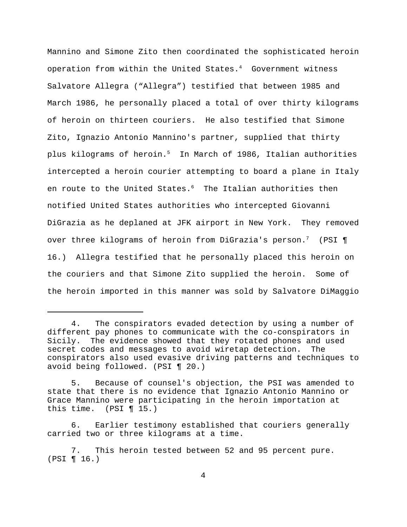Mannino and Simone Zito then coordinated the sophisticated heroin operation from within the United States.<sup>4</sup> Government witness Salvatore Allegra ("Allegra") testified that between 1985 and March 1986, he personally placed a total of over thirty kilograms of heroin on thirteen couriers. He also testified that Simone Zito, Ignazio Antonio Mannino's partner, supplied that thirty plus kilograms of heroin.<sup>5</sup> In March of 1986, Italian authorities intercepted a heroin courier attempting to board a plane in Italy en route to the United States.<sup>6</sup> The Italian authorities then notified United States authorities who intercepted Giovanni DiGrazia as he deplaned at JFK airport in New York. They removed over three kilograms of heroin from DiGrazia's person.<sup>7</sup> (PSI ¶ 16.) Allegra testified that he personally placed this heroin on the couriers and that Simone Zito supplied the heroin. Some of the heroin imported in this manner was sold by Salvatore DiMaggio

<sup>4.</sup> The conspirators evaded detection by using a number of different pay phones to communicate with the co-conspirators in Sicily. The evidence showed that they rotated phones and used secret codes and messages to avoid wiretap detection. The conspirators also used evasive driving patterns and techniques to avoid being followed. (PSI ¶ 20.)

<sup>5.</sup> Because of counsel's objection, the PSI was amended to state that there is no evidence that Ignazio Antonio Mannino or Grace Mannino were participating in the heroin importation at this time. (PSI  $\P$  15.)

<sup>6.</sup> Earlier testimony established that couriers generally carried two or three kilograms at a time.

<sup>7.</sup> This heroin tested between 52 and 95 percent pure. (PSI ¶ 16.)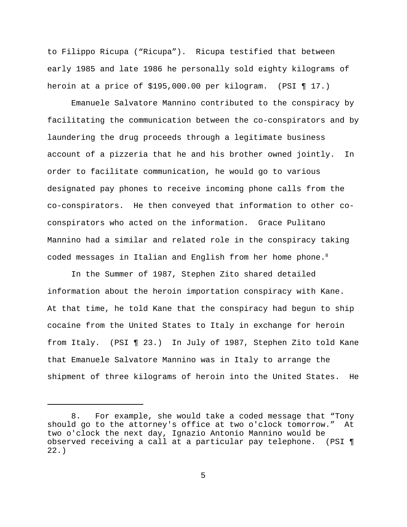to Filippo Ricupa ("Ricupa"). Ricupa testified that between early 1985 and late 1986 he personally sold eighty kilograms of heroin at a price of \$195,000.00 per kilogram. (PSI ¶ 17.)

Emanuele Salvatore Mannino contributed to the conspiracy by facilitating the communication between the co-conspirators and by laundering the drug proceeds through a legitimate business account of a pizzeria that he and his brother owned jointly. In order to facilitate communication, he would go to various designated pay phones to receive incoming phone calls from the co-conspirators. He then conveyed that information to other coconspirators who acted on the information. Grace Pulitano Mannino had a similar and related role in the conspiracy taking coded messages in Italian and English from her home phone.<sup>8</sup>

In the Summer of 1987, Stephen Zito shared detailed information about the heroin importation conspiracy with Kane. At that time, he told Kane that the conspiracy had begun to ship cocaine from the United States to Italy in exchange for heroin from Italy. (PSI ¶ 23.) In July of 1987, Stephen Zito told Kane that Emanuele Salvatore Mannino was in Italy to arrange the shipment of three kilograms of heroin into the United States. He

<sup>8.</sup> For example, she would take a coded message that "Tony should go to the attorney's office at two o'clock tomorrow." At two o'clock the next day, Ignazio Antonio Mannino would be observed receiving a call at a particular pay telephone. (PSI ¶ 22.)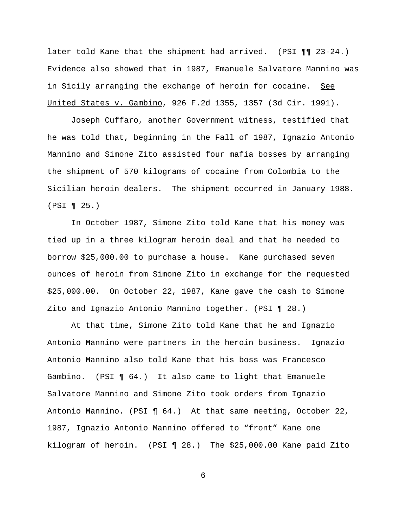later told Kane that the shipment had arrived. (PSI ¶¶ 23-24.) Evidence also showed that in 1987, Emanuele Salvatore Mannino was in Sicily arranging the exchange of heroin for cocaine. See United States v. Gambino, 926 F.2d 1355, 1357 (3d Cir. 1991).

Joseph Cuffaro, another Government witness, testified that he was told that, beginning in the Fall of 1987, Ignazio Antonio Mannino and Simone Zito assisted four mafia bosses by arranging the shipment of 570 kilograms of cocaine from Colombia to the Sicilian heroin dealers. The shipment occurred in January 1988. (PSI ¶ 25.)

In October 1987, Simone Zito told Kane that his money was tied up in a three kilogram heroin deal and that he needed to borrow \$25,000.00 to purchase a house. Kane purchased seven ounces of heroin from Simone Zito in exchange for the requested \$25,000.00. On October 22, 1987, Kane gave the cash to Simone Zito and Ignazio Antonio Mannino together. (PSI ¶ 28.)

At that time, Simone Zito told Kane that he and Ignazio Antonio Mannino were partners in the heroin business. Ignazio Antonio Mannino also told Kane that his boss was Francesco Gambino. (PSI ¶ 64.) It also came to light that Emanuele Salvatore Mannino and Simone Zito took orders from Ignazio Antonio Mannino. (PSI ¶ 64.) At that same meeting, October 22, 1987, Ignazio Antonio Mannino offered to "front" Kane one kilogram of heroin. (PSI ¶ 28.) The \$25,000.00 Kane paid Zito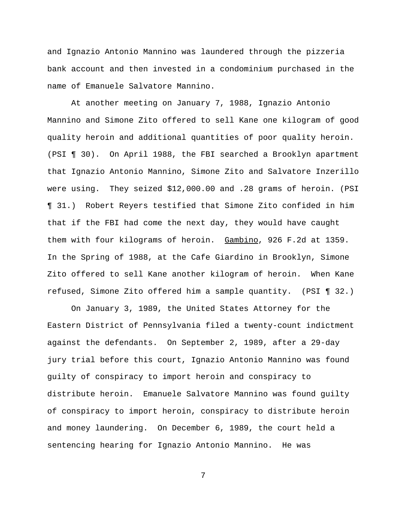and Ignazio Antonio Mannino was laundered through the pizzeria bank account and then invested in a condominium purchased in the name of Emanuele Salvatore Mannino.

At another meeting on January 7, 1988, Ignazio Antonio Mannino and Simone Zito offered to sell Kane one kilogram of good quality heroin and additional quantities of poor quality heroin. (PSI ¶ 30). On April 1988, the FBI searched a Brooklyn apartment that Ignazio Antonio Mannino, Simone Zito and Salvatore Inzerillo were using. They seized \$12,000.00 and .28 grams of heroin. (PSI ¶ 31.) Robert Reyers testified that Simone Zito confided in him that if the FBI had come the next day, they would have caught them with four kilograms of heroin. Gambino, 926 F.2d at 1359. In the Spring of 1988, at the Cafe Giardino in Brooklyn, Simone Zito offered to sell Kane another kilogram of heroin. When Kane refused, Simone Zito offered him a sample quantity. (PSI ¶ 32.)

On January 3, 1989, the United States Attorney for the Eastern District of Pennsylvania filed a twenty-count indictment against the defendants. On September 2, 1989, after a 29-day jury trial before this court, Ignazio Antonio Mannino was found guilty of conspiracy to import heroin and conspiracy to distribute heroin. Emanuele Salvatore Mannino was found guilty of conspiracy to import heroin, conspiracy to distribute heroin and money laundering. On December 6, 1989, the court held a sentencing hearing for Ignazio Antonio Mannino. He was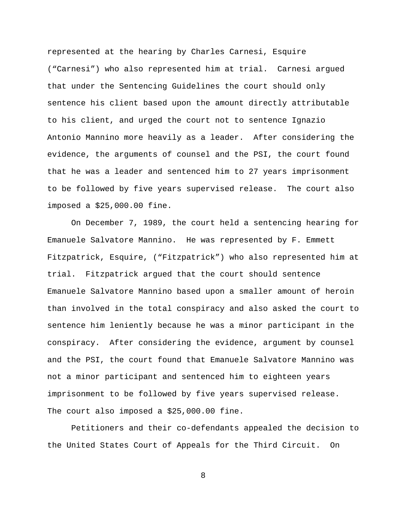represented at the hearing by Charles Carnesi, Esquire ("Carnesi") who also represented him at trial. Carnesi argued that under the Sentencing Guidelines the court should only sentence his client based upon the amount directly attributable to his client, and urged the court not to sentence Ignazio Antonio Mannino more heavily as a leader. After considering the evidence, the arguments of counsel and the PSI, the court found that he was a leader and sentenced him to 27 years imprisonment to be followed by five years supervised release. The court also imposed a \$25,000.00 fine.

On December 7, 1989, the court held a sentencing hearing for Emanuele Salvatore Mannino. He was represented by F. Emmett Fitzpatrick, Esquire, ("Fitzpatrick") who also represented him at trial. Fitzpatrick argued that the court should sentence Emanuele Salvatore Mannino based upon a smaller amount of heroin than involved in the total conspiracy and also asked the court to sentence him leniently because he was a minor participant in the conspiracy. After considering the evidence, argument by counsel and the PSI, the court found that Emanuele Salvatore Mannino was not a minor participant and sentenced him to eighteen years imprisonment to be followed by five years supervised release. The court also imposed a \$25,000.00 fine.

Petitioners and their co-defendants appealed the decision to the United States Court of Appeals for the Third Circuit. On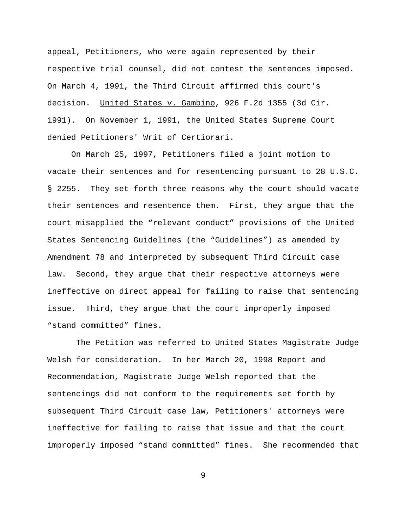appeal, Petitioners, who were again represented by their respective trial counsel, did not contest the sentences imposed. On March 4, 1991, the Third Circuit affirmed this court's decision. United States v. Gambino, 926 F.2d 1355 (3d Cir. 1991). On November 1, 1991, the United States Supreme Court denied Petitioners' Writ of Certiorari.

On March 25, 1997, Petitioners filed a joint motion to vacate their sentences and for resentencing pursuant to 28 U.S.C. § 2255. They set forth three reasons why the court should vacate their sentences and resentence them. First, they argue that the court misapplied the "relevant conduct" provisions of the United States Sentencing Guidelines (the "Guidelines") as amended by Amendment 78 and interpreted by subsequent Third Circuit case law. Second, they argue that their respective attorneys were ineffective on direct appeal for failing to raise that sentencing issue. Third, they argue that the court improperly imposed "stand committed" fines.

 The Petition was referred to United States Magistrate Judge Welsh for consideration. In her March 20, 1998 Report and Recommendation, Magistrate Judge Welsh reported that the sentencings did not conform to the requirements set forth by subsequent Third Circuit case law, Petitioners' attorneys were ineffective for failing to raise that issue and that the court improperly imposed "stand committed" fines. She recommended that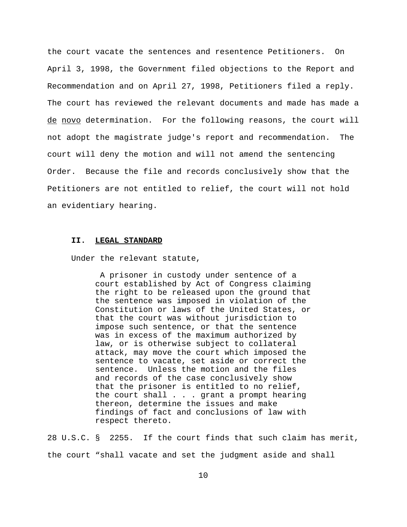the court vacate the sentences and resentence Petitioners. On April 3, 1998, the Government filed objections to the Report and Recommendation and on April 27, 1998, Petitioners filed a reply. The court has reviewed the relevant documents and made has made a de novo determination. For the following reasons, the court will not adopt the magistrate judge's report and recommendation. The court will deny the motion and will not amend the sentencing Order. Because the file and records conclusively show that the Petitioners are not entitled to relief, the court will not hold an evidentiary hearing.

#### **II. LEGAL STANDARD**

Under the relevant statute,

 A prisoner in custody under sentence of a court established by Act of Congress claiming the right to be released upon the ground that the sentence was imposed in violation of the Constitution or laws of the United States, or that the court was without jurisdiction to impose such sentence, or that the sentence was in excess of the maximum authorized by law, or is otherwise subject to collateral attack, may move the court which imposed the sentence to vacate, set aside or correct the sentence. Unless the motion and the files and records of the case conclusively show that the prisoner is entitled to no relief, the court shall . . . grant a prompt hearing thereon, determine the issues and make findings of fact and conclusions of law with respect thereto.

28 U.S.C. § 2255. If the court finds that such claim has merit, the court "shall vacate and set the judgment aside and shall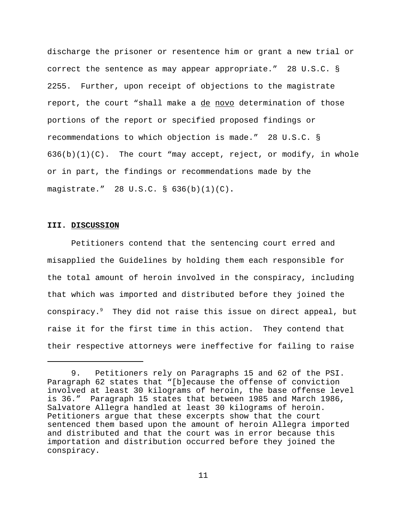discharge the prisoner or resentence him or grant a new trial or correct the sentence as may appear appropriate." 28 U.S.C. § 2255. Further, upon receipt of objections to the magistrate report, the court "shall make a de novo determination of those portions of the report or specified proposed findings or recommendations to which objection is made." 28 U.S.C. §  $636(b)(1)(C)$ . The court "may accept, reject, or modify, in whole or in part, the findings or recommendations made by the magistrate." 28 U.S.C. § 636(b)(1)(C)**.**

# **III. DISCUSSION**

Petitioners contend that the sentencing court erred and misapplied the Guidelines by holding them each responsible for the total amount of heroin involved in the conspiracy, including that which was imported and distributed before they joined the conspiracy.9 They did not raise this issue on direct appeal, but raise it for the first time in this action. They contend that their respective attorneys were ineffective for failing to raise

<sup>9.</sup> Petitioners rely on Paragraphs 15 and 62 of the PSI. Paragraph 62 states that "[b]ecause the offense of conviction involved at least 30 kilograms of heroin, the base offense level is 36." Paragraph 15 states that between 1985 and March 1986, Salvatore Allegra handled at least 30 kilograms of heroin. Petitioners argue that these excerpts show that the court sentenced them based upon the amount of heroin Allegra imported and distributed and that the court was in error because this importation and distribution occurred before they joined the conspiracy.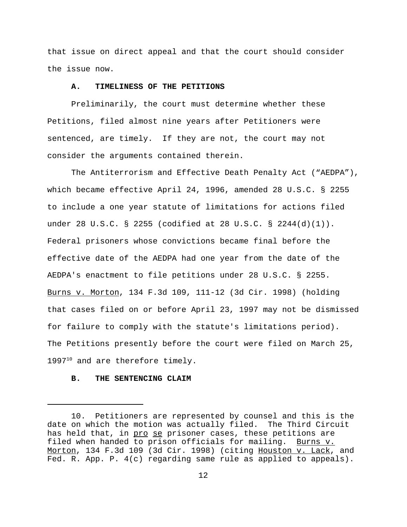that issue on direct appeal and that the court should consider the issue now.

#### **A. TIMELINESS OF THE PETITIONS**

Preliminarily, the court must determine whether these Petitions, filed almost nine years after Petitioners were sentenced, are timely. If they are not, the court may not consider the arguments contained therein.

The Antiterrorism and Effective Death Penalty Act ("AEDPA"), which became effective April 24, 1996, amended 28 U.S.C. § 2255 to include a one year statute of limitations for actions filed under 28 U.S.C. § 2255 (codified at 28 U.S.C. § 2244(d)(1)). Federal prisoners whose convictions became final before the effective date of the AEDPA had one year from the date of the AEDPA's enactment to file petitions under 28 U.S.C. § 2255. Burns v. Morton, 134 F.3d 109, 111-12 (3d Cir. 1998) (holding that cases filed on or before April 23, 1997 may not be dismissed for failure to comply with the statute's limitations period). The Petitions presently before the court were filed on March 25,  $1997<sup>10</sup>$  and are therefore timely.

# **B. THE SENTENCING CLAIM**

<sup>10.</sup> Petitioners are represented by counsel and this is the date on which the motion was actually filed. The Third Circuit has held that, in pro se prisoner cases, these petitions are filed when handed to prison officials for mailing. Burns v. Morton, 134 F.3d 109 (3d Cir. 1998) (citing Houston v. Lack, and Fed. R. App. P. 4(c) regarding same rule as applied to appeals).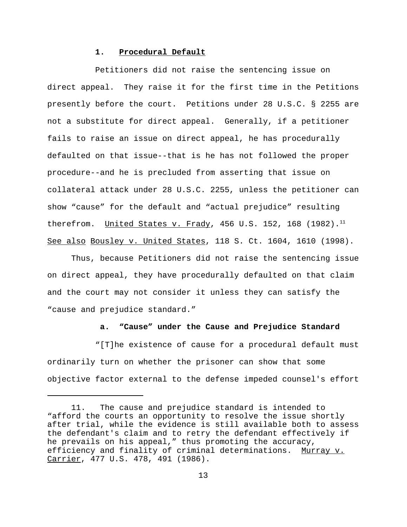### **1. Procedural Default**

Petitioners did not raise the sentencing issue on direct appeal. They raise it for the first time in the Petitions presently before the court. Petitions under 28 U.S.C. § 2255 are not a substitute for direct appeal. Generally, if a petitioner fails to raise an issue on direct appeal, he has procedurally defaulted on that issue--that is he has not followed the proper procedure--and he is precluded from asserting that issue on collateral attack under 28 U.S.C. 2255, unless the petitioner can show "cause" for the default and "actual prejudice" resulting therefrom. United States v. Frady, 456 U.S. 152, 168  $(1982)$ .<sup>11</sup> See also Bousley v. United States, 118 S. Ct. 1604, 1610 (1998).

Thus, because Petitioners did not raise the sentencing issue on direct appeal, they have procedurally defaulted on that claim and the court may not consider it unless they can satisfy the "cause and prejudice standard."

# **a. "Cause" under the Cause and Prejudice Standard**

"[T]he existence of cause for a procedural default must ordinarily turn on whether the prisoner can show that some objective factor external to the defense impeded counsel's effort

<sup>11.</sup> The cause and prejudice standard is intended to "afford the courts an opportunity to resolve the issue shortly after trial, while the evidence is still available both to assess the defendant's claim and to retry the defendant effectively if he prevails on his appeal," thus promoting the accuracy, efficiency and finality of criminal determinations. Murray v. Carrier, 477 U.S. 478, 491 (1986).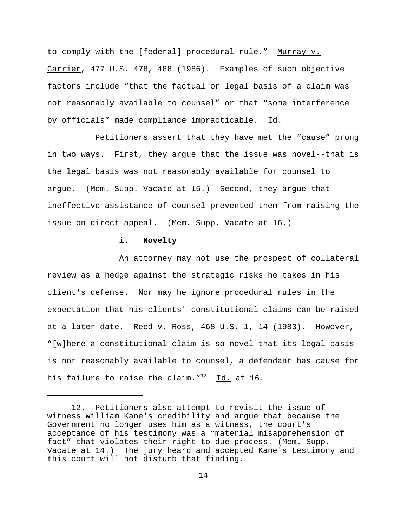to comply with the [federal] procedural rule." Murray v. Carrier, 477 U.S. 478, 488 (1986). Examples of such objective factors include "that the factual or legal basis of a claim was not reasonably available to counsel" or that "some interference by officials" made compliance impracticable. Id.

Petitioners assert that they have met the "cause" prong in two ways. First, they argue that the issue was novel--that is the legal basis was not reasonably available for counsel to argue. (Mem. Supp. Vacate at 15.) Second, they argue that ineffective assistance of counsel prevented them from raising the issue on direct appeal. (Mem. Supp. Vacate at 16.)

# **i. Novelty**

An attorney may not use the prospect of collateral review as a hedge against the strategic risks he takes in his client's defense. Nor may he ignore procedural rules in the expectation that his clients' constitutional claims can be raised at a later date. Reed v. Ross, 468 U.S. 1, 14 (1983). However, "[w]here a constitutional claim is so novel that its legal basis is not reasonably available to counsel, a defendant has cause for his failure to raise the claim. $1^{12}$  Id. at 16.

<sup>12.</sup> Petitioners also attempt to revisit the issue of witness William Kane's credibility and argue that because the Government no longer uses him as a witness, the court's acceptance of his testimony was a "material misapprehension of fact" that violates their right to due process. (Mem. Supp. Vacate at 14.) The jury heard and accepted Kane's testimony and this court will not disturb that finding.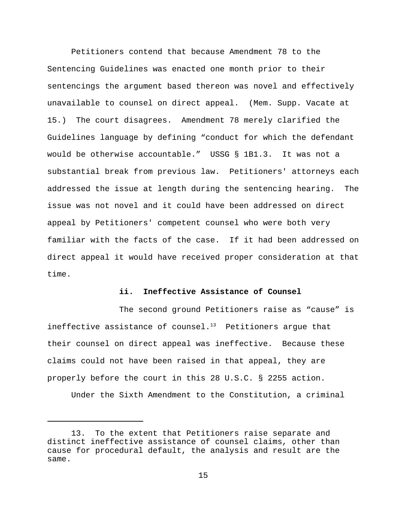Petitioners contend that because Amendment 78 to the Sentencing Guidelines was enacted one month prior to their sentencings the argument based thereon was novel and effectively unavailable to counsel on direct appeal. (Mem. Supp. Vacate at 15.) The court disagrees. Amendment 78 merely clarified the Guidelines language by defining "conduct for which the defendant would be otherwise accountable." USSG § 1B1.3. It was not a substantial break from previous law. Petitioners' attorneys each addressed the issue at length during the sentencing hearing. The issue was not novel and it could have been addressed on direct appeal by Petitioners' competent counsel who were both very familiar with the facts of the case. If it had been addressed on direct appeal it would have received proper consideration at that time.

# **ii. Ineffective Assistance of Counsel**

The second ground Petitioners raise as "cause" is ineffective assistance of counsel. $13$  Petitioners argue that their counsel on direct appeal was ineffective. Because these claims could not have been raised in that appeal, they are properly before the court in this 28 U.S.C. § 2255 action.

Under the Sixth Amendment to the Constitution, a criminal

<sup>13.</sup> To the extent that Petitioners raise separate and distinct ineffective assistance of counsel claims, other than cause for procedural default, the analysis and result are the same.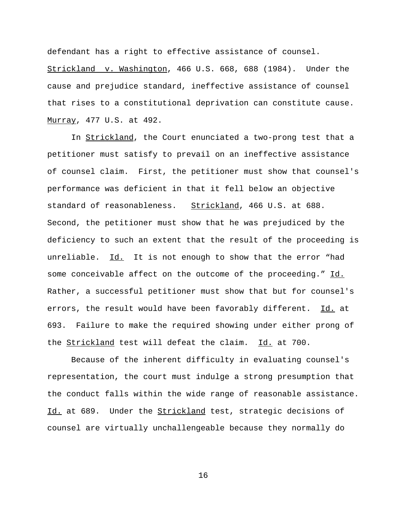defendant has a right to effective assistance of counsel.

Strickland v. Washington, 466 U.S. 668, 688 (1984). Under the cause and prejudice standard, ineffective assistance of counsel that rises to a constitutional deprivation can constitute cause. Murray, 477 U.S. at 492.

In Strickland, the Court enunciated a two-prong test that a petitioner must satisfy to prevail on an ineffective assistance of counsel claim. First, the petitioner must show that counsel's performance was deficient in that it fell below an objective standard of reasonableness. Strickland, 466 U.S. at 688. Second, the petitioner must show that he was prejudiced by the deficiency to such an extent that the result of the proceeding is unreliable. Id. It is not enough to show that the error "had some conceivable affect on the outcome of the proceeding." Id. Rather, a successful petitioner must show that but for counsel's errors, the result would have been favorably different. Id. at 693. Failure to make the required showing under either prong of the Strickland test will defeat the claim. Id. at 700.

Because of the inherent difficulty in evaluating counsel's representation, the court must indulge a strong presumption that the conduct falls within the wide range of reasonable assistance. Id. at 689. Under the Strickland test, strategic decisions of counsel are virtually unchallengeable because they normally do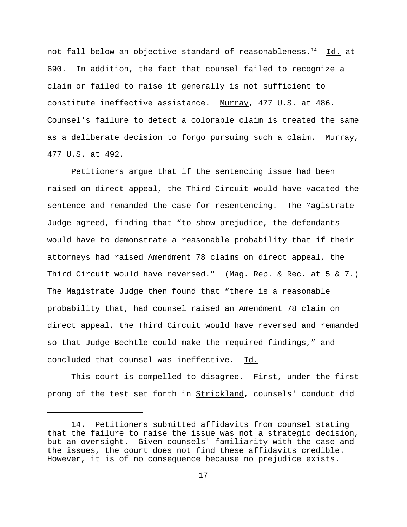not fall below an objective standard of reasonableness. $^{14}$  Id. at 690. In addition, the fact that counsel failed to recognize a claim or failed to raise it generally is not sufficient to constitute ineffective assistance. Murray, 477 U.S. at 486. Counsel's failure to detect a colorable claim is treated the same as a deliberate decision to forgo pursuing such a claim. Murray, 477 U.S. at 492.

Petitioners argue that if the sentencing issue had been raised on direct appeal, the Third Circuit would have vacated the sentence and remanded the case for resentencing. The Magistrate Judge agreed, finding that "to show prejudice, the defendants would have to demonstrate a reasonable probability that if their attorneys had raised Amendment 78 claims on direct appeal, the Third Circuit would have reversed." (Mag. Rep. & Rec. at 5 & 7.) The Magistrate Judge then found that "there is a reasonable probability that, had counsel raised an Amendment 78 claim on direct appeal, the Third Circuit would have reversed and remanded so that Judge Bechtle could make the required findings," and concluded that counsel was ineffective. Id.

This court is compelled to disagree. First, under the first prong of the test set forth in Strickland, counsels' conduct did

<sup>14.</sup> Petitioners submitted affidavits from counsel stating that the failure to raise the issue was not a strategic decision, but an oversight. Given counsels' familiarity with the case and the issues, the court does not find these affidavits credible. However, it is of no consequence because no prejudice exists.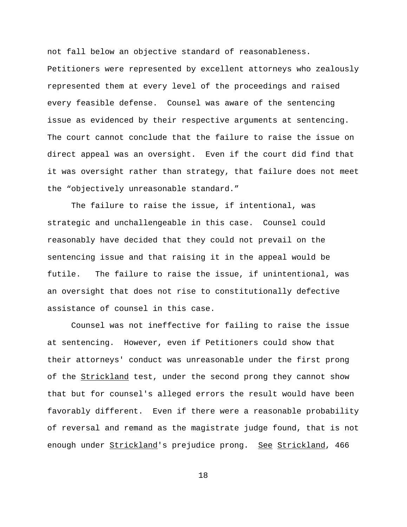not fall below an objective standard of reasonableness. Petitioners were represented by excellent attorneys who zealously represented them at every level of the proceedings and raised every feasible defense. Counsel was aware of the sentencing issue as evidenced by their respective arguments at sentencing. The court cannot conclude that the failure to raise the issue on direct appeal was an oversight. Even if the court did find that it was oversight rather than strategy, that failure does not meet the "objectively unreasonable standard."

The failure to raise the issue, if intentional, was strategic and unchallengeable in this case. Counsel could reasonably have decided that they could not prevail on the sentencing issue and that raising it in the appeal would be futile. The failure to raise the issue, if unintentional, was an oversight that does not rise to constitutionally defective assistance of counsel in this case.

Counsel was not ineffective for failing to raise the issue at sentencing. However, even if Petitioners could show that their attorneys' conduct was unreasonable under the first prong of the **Strickland** test, under the second prong they cannot show that but for counsel's alleged errors the result would have been favorably different. Even if there were a reasonable probability of reversal and remand as the magistrate judge found, that is not enough under Strickland's prejudice prong. See Strickland, 466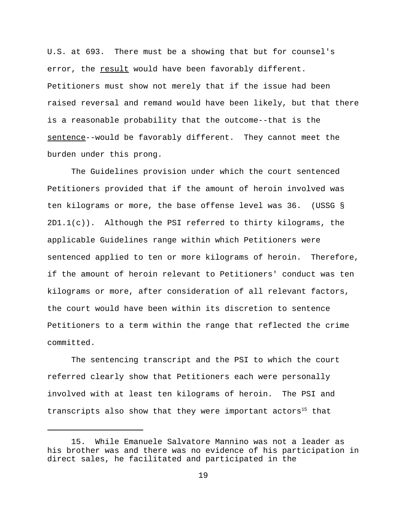U.S. at 693. There must be a showing that but for counsel's error, the result would have been favorably different. Petitioners must show not merely that if the issue had been raised reversal and remand would have been likely, but that there is a reasonable probability that the outcome--that is the sentence--would be favorably different. They cannot meet the burden under this prong.

The Guidelines provision under which the court sentenced Petitioners provided that if the amount of heroin involved was ten kilograms or more, the base offense level was 36. (USSG § 2D1.1(c)). Although the PSI referred to thirty kilograms, the applicable Guidelines range within which Petitioners were sentenced applied to ten or more kilograms of heroin. Therefore, if the amount of heroin relevant to Petitioners' conduct was ten kilograms or more, after consideration of all relevant factors, the court would have been within its discretion to sentence Petitioners to a term within the range that reflected the crime committed.

The sentencing transcript and the PSI to which the court referred clearly show that Petitioners each were personally involved with at least ten kilograms of heroin. The PSI and transcripts also show that they were important actors<sup>15</sup> that

<sup>15.</sup> While Emanuele Salvatore Mannino was not a leader as his brother was and there was no evidence of his participation in direct sales, he facilitated and participated in the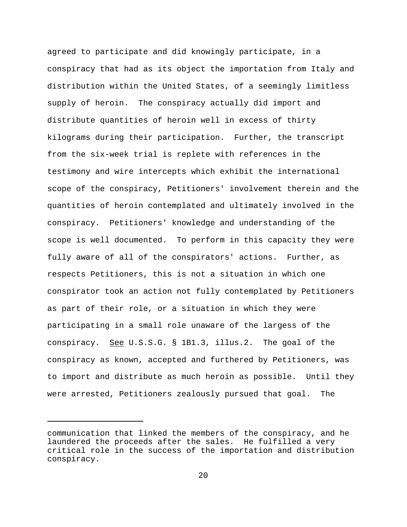agreed to participate and did knowingly participate, in a conspiracy that had as its object the importation from Italy and distribution within the United States, of a seemingly limitless supply of heroin. The conspiracy actually did import and distribute quantities of heroin well in excess of thirty kilograms during their participation. Further, the transcript from the six-week trial is replete with references in the testimony and wire intercepts which exhibit the international scope of the conspiracy, Petitioners' involvement therein and the quantities of heroin contemplated and ultimately involved in the conspiracy. Petitioners' knowledge and understanding of the scope is well documented. To perform in this capacity they were fully aware of all of the conspirators' actions. Further, as respects Petitioners, this is not a situation in which one conspirator took an action not fully contemplated by Petitioners as part of their role, or a situation in which they were participating in a small role unaware of the largess of the conspiracy. See U.S.S.G. § 1B1.3, illus.2. The goal of the conspiracy as known, accepted and furthered by Petitioners, was to import and distribute as much heroin as possible. Until they were arrested, Petitioners zealously pursued that goal. The

communication that linked the members of the conspiracy, and he laundered the proceeds after the sales. He fulfilled a very critical role in the success of the importation and distribution conspiracy.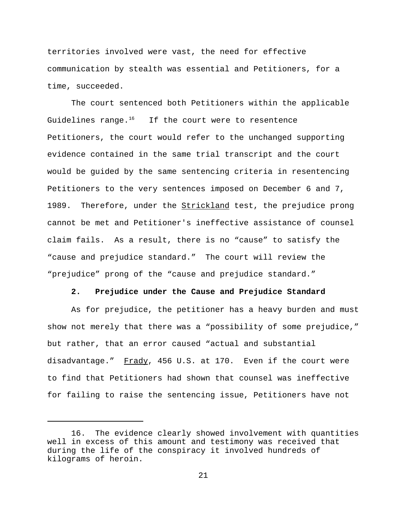territories involved were vast, the need for effective communication by stealth was essential and Petitioners, for a time, succeeded.

The court sentenced both Petitioners within the applicable Guidelines range. $16$  If the court were to resentence Petitioners, the court would refer to the unchanged supporting evidence contained in the same trial transcript and the court would be guided by the same sentencing criteria in resentencing Petitioners to the very sentences imposed on December 6 and 7, 1989. Therefore, under the Strickland test, the prejudice prong cannot be met and Petitioner's ineffective assistance of counsel claim fails. As a result, there is no "cause" to satisfy the "cause and prejudice standard." The court will review the "prejudice" prong of the "cause and prejudice standard."

### **2. Prejudice under the Cause and Prejudice Standard**

As for prejudice, the petitioner has a heavy burden and must show not merely that there was a "possibility of some prejudice," but rather, that an error caused "actual and substantial disadvantage." Frady, 456 U.S. at 170. Even if the court were to find that Petitioners had shown that counsel was ineffective for failing to raise the sentencing issue, Petitioners have not

<sup>16.</sup> The evidence clearly showed involvement with quantities well in excess of this amount and testimony was received that during the life of the conspiracy it involved hundreds of kilograms of heroin.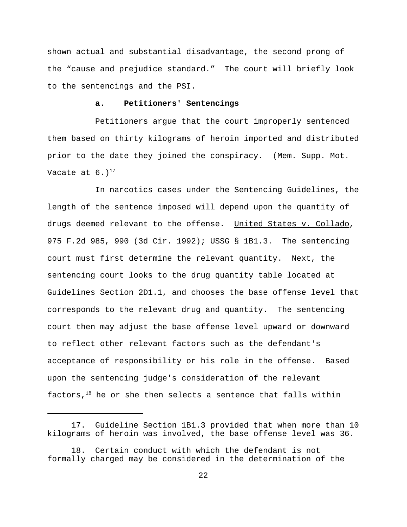shown actual and substantial disadvantage, the second prong of the "cause and prejudice standard." The court will briefly look to the sentencings and the PSI.

### **a. Petitioners' Sentencings**

Petitioners argue that the court improperly sentenced them based on thirty kilograms of heroin imported and distributed prior to the date they joined the conspiracy. (Mem. Supp. Mot. Vacate at  $6.1^{17}$ 

In narcotics cases under the Sentencing Guidelines, the length of the sentence imposed will depend upon the quantity of drugs deemed relevant to the offense. United States v. Collado, 975 F.2d 985, 990 (3d Cir. 1992); USSG § 1B1.3. The sentencing court must first determine the relevant quantity. Next, the sentencing court looks to the drug quantity table located at Guidelines Section 2D1.1, and chooses the base offense level that corresponds to the relevant drug and quantity. The sentencing court then may adjust the base offense level upward or downward to reflect other relevant factors such as the defendant's acceptance of responsibility or his role in the offense. Based upon the sentencing judge's consideration of the relevant factors, $18$  he or she then selects a sentence that falls within

<sup>17.</sup> Guideline Section 1B1.3 provided that when more than 10 kilograms of heroin was involved, the base offense level was 36.

<sup>18.</sup> Certain conduct with which the defendant is not formally charged may be considered in the determination of the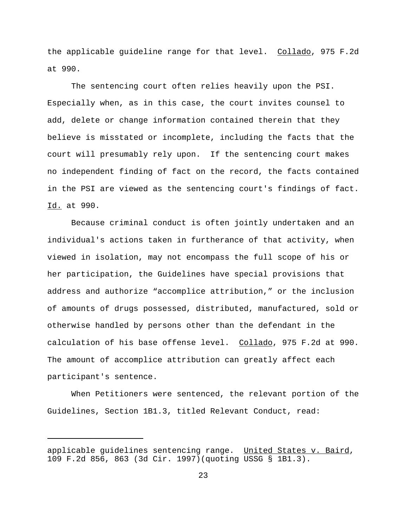the applicable guideline range for that level. Collado, 975 F.2d at 990.

The sentencing court often relies heavily upon the PSI. Especially when, as in this case, the court invites counsel to add, delete or change information contained therein that they believe is misstated or incomplete, including the facts that the court will presumably rely upon. If the sentencing court makes no independent finding of fact on the record, the facts contained in the PSI are viewed as the sentencing court's findings of fact. Id. at 990.

Because criminal conduct is often jointly undertaken and an individual's actions taken in furtherance of that activity, when viewed in isolation, may not encompass the full scope of his or her participation, the Guidelines have special provisions that address and authorize "accomplice attribution," or the inclusion of amounts of drugs possessed, distributed, manufactured, sold or otherwise handled by persons other than the defendant in the calculation of his base offense level. Collado, 975 F.2d at 990. The amount of accomplice attribution can greatly affect each participant's sentence.

When Petitioners were sentenced, the relevant portion of the Guidelines, Section 1B1.3, titled Relevant Conduct, read:

applicable guidelines sentencing range. United States v. Baird, 109 F.2d 856, 863 (3d Cir. 1997)(quoting USSG § 1B1.3).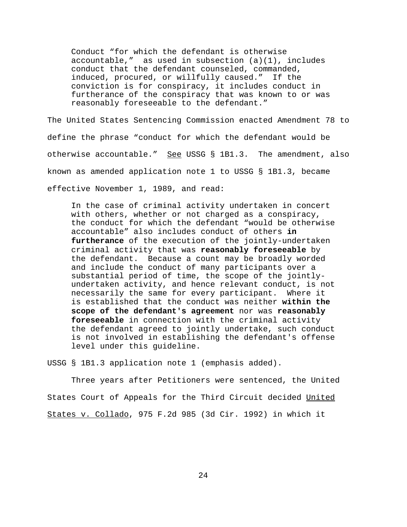Conduct "for which the defendant is otherwise accountable," as used in subsection  $(a)(1)$ , includes conduct that the defendant counseled, commanded, induced, procured, or willfully caused." If the conviction is for conspiracy, it includes conduct in furtherance of the conspiracy that was known to or was reasonably foreseeable to the defendant."

The United States Sentencing Commission enacted Amendment 78 to define the phrase "conduct for which the defendant would be otherwise accountable." See USSG § 1B1.3. The amendment, also known as amended application note 1 to USSG § 1B1.3, became effective November 1, 1989, and read:

In the case of criminal activity undertaken in concert with others, whether or not charged as a conspiracy, the conduct for which the defendant "would be otherwise accountable" also includes conduct of others **in furtherance** of the execution of the jointly-undertaken criminal activity that was **reasonably foreseeable** by the defendant. Because a count may be broadly worded and include the conduct of many participants over a substantial period of time, the scope of the jointlyundertaken activity, and hence relevant conduct, is not necessarily the same for every participant. Where it is established that the conduct was neither **within the scope of the defendant's agreement** nor was **reasonably foreseeable** in connection with the criminal activity the defendant agreed to jointly undertake, such conduct is not involved in establishing the defendant's offense level under this guideline.

USSG § 1B1.3 application note 1 (emphasis added).

Three years after Petitioners were sentenced, the United States Court of Appeals for the Third Circuit decided United States v. Collado, 975 F.2d 985 (3d Cir. 1992) in which it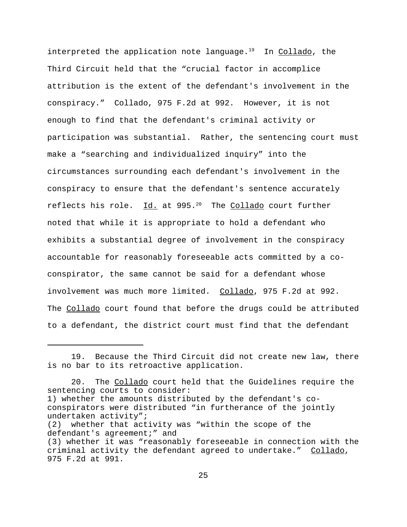interpreted the application note language.<sup>19</sup> In Collado, the Third Circuit held that the "crucial factor in accomplice attribution is the extent of the defendant's involvement in the conspiracy." Collado, 975 F.2d at 992. However, it is not enough to find that the defendant's criminal activity or participation was substantial. Rather, the sentencing court must make a "searching and individualized inquiry" into the circumstances surrounding each defendant's involvement in the conspiracy to ensure that the defendant's sentence accurately reflects his role.  $Id.$  at 995.<sup>20</sup> The Collado court further noted that while it is appropriate to hold a defendant who exhibits a substantial degree of involvement in the conspiracy accountable for reasonably foreseeable acts committed by a coconspirator, the same cannot be said for a defendant whose involvement was much more limited. Collado, 975 F.2d at 992. The Collado court found that before the drugs could be attributed to a defendant, the district court must find that the defendant

<sup>19.</sup> Because the Third Circuit did not create new law, there is no bar to its retroactive application.

<sup>20.</sup> The Collado court held that the Guidelines require the sentencing courts to consider: 1) whether the amounts distributed by the defendant's coconspirators were distributed "in furtherance of the jointly undertaken activity"; (2) whether that activity was "within the scope of the defendant's agreement;" and (3) whether it was "reasonably foreseeable in connection with the criminal activity the defendant agreed to undertake." Collado, 975 F.2d at 991.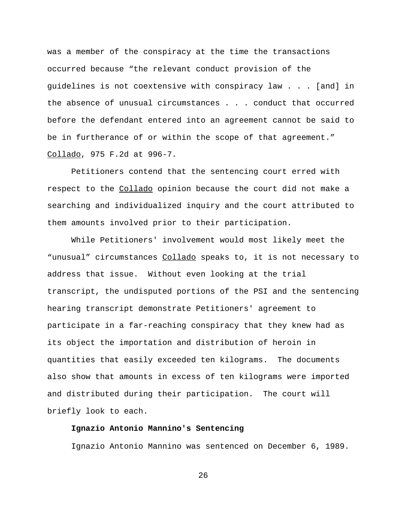was a member of the conspiracy at the time the transactions occurred because "the relevant conduct provision of the guidelines is not coextensive with conspiracy law . . . [and] in the absence of unusual circumstances . . . conduct that occurred before the defendant entered into an agreement cannot be said to be in furtherance of or within the scope of that agreement." Collado, 975 F.2d at 996-7.

Petitioners contend that the sentencing court erred with respect to the Collado opinion because the court did not make a searching and individualized inquiry and the court attributed to them amounts involved prior to their participation.

While Petitioners' involvement would most likely meet the "unusual" circumstances Collado speaks to, it is not necessary to address that issue. Without even looking at the trial transcript, the undisputed portions of the PSI and the sentencing hearing transcript demonstrate Petitioners' agreement to participate in a far-reaching conspiracy that they knew had as its object the importation and distribution of heroin in quantities that easily exceeded ten kilograms. The documents also show that amounts in excess of ten kilograms were imported and distributed during their participation. The court will briefly look to each.

# **Ignazio Antonio Mannino's Sentencing**

Ignazio Antonio Mannino was sentenced on December 6, 1989.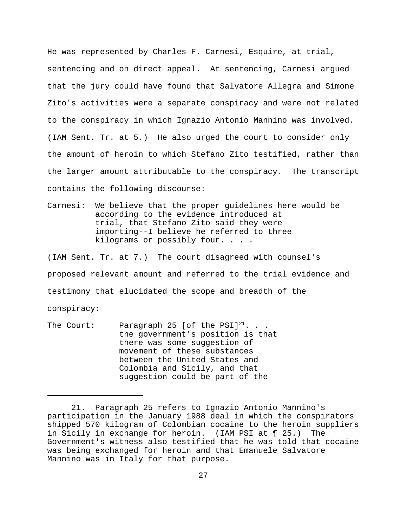He was represented by Charles F. Carnesi, Esquire, at trial, sentencing and on direct appeal. At sentencing, Carnesi argued that the jury could have found that Salvatore Allegra and Simone Zito's activities were a separate conspiracy and were not related to the conspiracy in which Ignazio Antonio Mannino was involved. (IAM Sent. Tr. at 5.) He also urged the court to consider only the amount of heroin to which Stefano Zito testified, rather than the larger amount attributable to the conspiracy. The transcript contains the following discourse:

Carnesi: We believe that the proper guidelines here would be according to the evidence introduced at trial, that Stefano Zito said they were importing--I believe he referred to three kilograms or possibly four. . . .

(IAM Sent. Tr. at 7.) The court disagreed with counsel's proposed relevant amount and referred to the trial evidence and testimony that elucidated the scope and breadth of the conspiracy:

The Court: Paragraph 25 [of the PSI] $^{21}$ ... the government's position is that there was some suggestion of movement of these substances between the United States and Colombia and Sicily, and that suggestion could be part of the

<sup>21.</sup> Paragraph 25 refers to Ignazio Antonio Mannino's participation in the January 1988 deal in which the conspirators shipped 570 kilogram of Colombian cocaine to the heroin suppliers in Sicily in exchange for heroin. (IAM PSI at ¶ 25.) The Government's witness also testified that he was told that cocaine was being exchanged for heroin and that Emanuele Salvatore Mannino was in Italy for that purpose.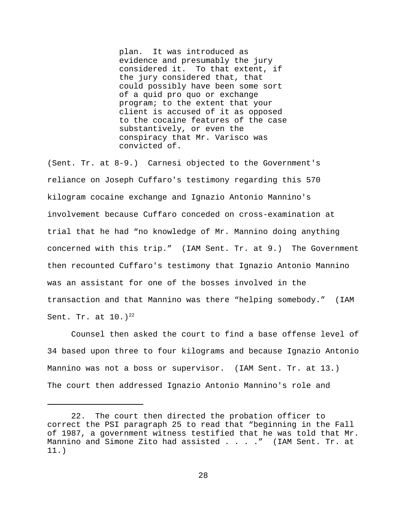plan. It was introduced as evidence and presumably the jury considered it. To that extent, if the jury considered that, that could possibly have been some sort of a quid pro quo or exchange program; to the extent that your client is accused of it as opposed to the cocaine features of the case substantively, or even the conspiracy that Mr. Varisco was convicted of.

(Sent. Tr. at 8-9.) Carnesi objected to the Government's reliance on Joseph Cuffaro's testimony regarding this 570 kilogram cocaine exchange and Ignazio Antonio Mannino's involvement because Cuffaro conceded on cross-examination at trial that he had "no knowledge of Mr. Mannino doing anything concerned with this trip." (IAM Sent. Tr. at 9.) The Government then recounted Cuffaro's testimony that Ignazio Antonio Mannino was an assistant for one of the bosses involved in the transaction and that Mannino was there "helping somebody." (IAM Sent. Tr. at  $10.1^{22}$ 

Counsel then asked the court to find a base offense level of 34 based upon three to four kilograms and because Ignazio Antonio Mannino was not a boss or supervisor. (IAM Sent. Tr. at 13.) The court then addressed Ignazio Antonio Mannino's role and

<sup>22.</sup> The court then directed the probation officer to correct the PSI paragraph 25 to read that "beginning in the Fall of 1987, a government witness testified that he was told that Mr. Mannino and Simone Zito had assisted . . . ." (IAM Sent. Tr. at 11.)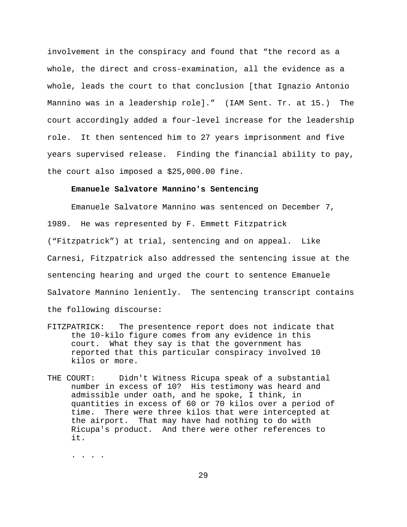involvement in the conspiracy and found that "the record as a whole, the direct and cross-examination, all the evidence as a whole, leads the court to that conclusion [that Ignazio Antonio Mannino was in a leadership role]." (IAM Sent. Tr. at 15.) The court accordingly added a four-level increase for the leadership role. It then sentenced him to 27 years imprisonment and five years supervised release. Finding the financial ability to pay, the court also imposed a \$25,000.00 fine.

# **Emanuele Salvatore Mannino's Sentencing**

Emanuele Salvatore Mannino was sentenced on December 7, 1989. He was represented by F. Emmett Fitzpatrick ("Fitzpatrick") at trial, sentencing and on appeal. Like Carnesi, Fitzpatrick also addressed the sentencing issue at the sentencing hearing and urged the court to sentence Emanuele Salvatore Mannino leniently. The sentencing transcript contains the following discourse:

- FITZPATRICK: The presentence report does not indicate that the 10-kilo figure comes from any evidence in this court. What they say is that the government has reported that this particular conspiracy involved 10 kilos or more.
- THE COURT: Didn't Witness Ricupa speak of a substantial number in excess of 10? His testimony was heard and admissible under oath, and he spoke, I think, in quantities in excess of 60 or 70 kilos over a period of time. There were three kilos that were intercepted at the airport. That may have had nothing to do with Ricupa's product. And there were other references to it.

. . . .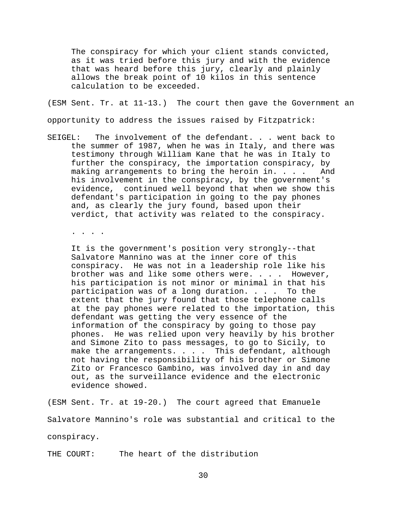The conspiracy for which your client stands convicted, as it was tried before this jury and with the evidence that was heard before this jury, clearly and plainly allows the break point of 10 kilos in this sentence calculation to be exceeded.

(ESM Sent. Tr. at 11-13.) The court then gave the Government an opportunity to address the issues raised by Fitzpatrick:

SEIGEL: The involvement of the defendant. . . went back to the summer of 1987, when he was in Italy, and there was testimony through William Kane that he was in Italy to further the conspiracy, the importation conspiracy, by making arrangements to bring the heroin in. . . . And his involvement in the conspiracy, by the government's evidence, continued well beyond that when we show this defendant's participation in going to the pay phones and, as clearly the jury found, based upon their verdict, that activity was related to the conspiracy.

. . . .

It is the government's position very strongly--that Salvatore Mannino was at the inner core of this conspiracy. He was not in a leadership role like his brother was and like some others were. . . . However, his participation is not minor or minimal in that his participation was of a long duration. . . . To the extent that the jury found that those telephone calls at the pay phones were related to the importation, this defendant was getting the very essence of the information of the conspiracy by going to those pay phones. He was relied upon very heavily by his brother and Simone Zito to pass messages, to go to Sicily, to make the arrangements. . . . This defendant, although not having the responsibility of his brother or Simone Zito or Francesco Gambino, was involved day in and day out, as the surveillance evidence and the electronic evidence showed.

(ESM Sent. Tr. at 19-20.) The court agreed that Emanuele Salvatore Mannino's role was substantial and critical to the conspiracy.

THE COURT: The heart of the distribution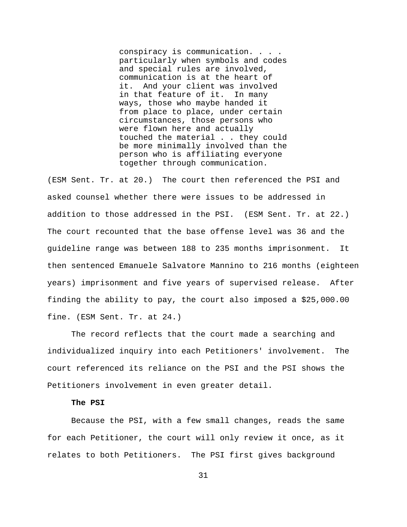conspiracy is communication. . . . particularly when symbols and codes and special rules are involved, communication is at the heart of it. And your client was involved in that feature of it. In many ways, those who maybe handed it from place to place, under certain circumstances, those persons who were flown here and actually touched the material . . they could be more minimally involved than the person who is affiliating everyone together through communication.

(ESM Sent. Tr. at 20.) The court then referenced the PSI and asked counsel whether there were issues to be addressed in addition to those addressed in the PSI. (ESM Sent. Tr. at 22.) The court recounted that the base offense level was 36 and the guideline range was between 188 to 235 months imprisonment. It then sentenced Emanuele Salvatore Mannino to 216 months (eighteen years) imprisonment and five years of supervised release. After finding the ability to pay, the court also imposed a \$25,000.00 fine. (ESM Sent. Tr. at 24.)

The record reflects that the court made a searching and individualized inquiry into each Petitioners' involvement. The court referenced its reliance on the PSI and the PSI shows the Petitioners involvement in even greater detail.

### **The PSI**

Because the PSI, with a few small changes, reads the same for each Petitioner, the court will only review it once, as it relates to both Petitioners. The PSI first gives background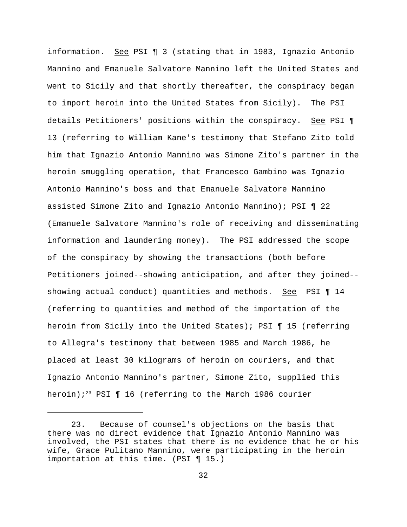information. See PSI ¶ 3 (stating that in 1983, Ignazio Antonio Mannino and Emanuele Salvatore Mannino left the United States and went to Sicily and that shortly thereafter, the conspiracy began to import heroin into the United States from Sicily). The PSI details Petitioners' positions within the conspiracy. See PSI ¶ 13 (referring to William Kane's testimony that Stefano Zito told him that Ignazio Antonio Mannino was Simone Zito's partner in the heroin smuggling operation, that Francesco Gambino was Ignazio Antonio Mannino's boss and that Emanuele Salvatore Mannino assisted Simone Zito and Ignazio Antonio Mannino); PSI ¶ 22 (Emanuele Salvatore Mannino's role of receiving and disseminating information and laundering money). The PSI addressed the scope of the conspiracy by showing the transactions (both before Petitioners joined--showing anticipation, and after they joined- showing actual conduct) quantities and methods. See PSI ¶ 14 (referring to quantities and method of the importation of the heroin from Sicily into the United States); PSI ¶ 15 (referring to Allegra's testimony that between 1985 and March 1986, he placed at least 30 kilograms of heroin on couriers, and that Ignazio Antonio Mannino's partner, Simone Zito, supplied this heroin);<sup>23</sup> PSI  $\P$  16 (referring to the March 1986 courier

<sup>23.</sup> Because of counsel's objections on the basis that there was no direct evidence that Ignazio Antonio Mannino was involved, the PSI states that there is no evidence that he or his wife, Grace Pulitano Mannino, were participating in the heroin importation at this time. (PSI ¶ 15.)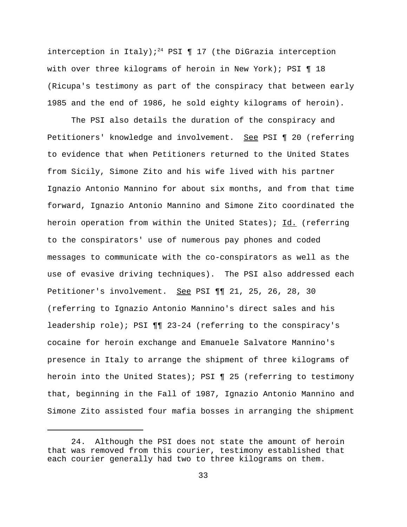interception in Italy);<sup>24</sup> PSI  $\P$  17 (the DiGrazia interception with over three kilograms of heroin in New York); PSI ¶ 18 (Ricupa's testimony as part of the conspiracy that between early 1985 and the end of 1986, he sold eighty kilograms of heroin).

The PSI also details the duration of the conspiracy and Petitioners' knowledge and involvement. See PSI 1 20 (referring to evidence that when Petitioners returned to the United States from Sicily, Simone Zito and his wife lived with his partner Ignazio Antonio Mannino for about six months, and from that time forward, Ignazio Antonio Mannino and Simone Zito coordinated the heroin operation from within the United States); Id. (referring to the conspirators' use of numerous pay phones and coded messages to communicate with the co-conspirators as well as the use of evasive driving techniques). The PSI also addressed each Petitioner's involvement. See PSI ¶ 21, 25, 26, 28, 30 (referring to Ignazio Antonio Mannino's direct sales and his leadership role); PSI ¶¶ 23-24 (referring to the conspiracy's cocaine for heroin exchange and Emanuele Salvatore Mannino's presence in Italy to arrange the shipment of three kilograms of heroin into the United States); PSI ¶ 25 (referring to testimony that, beginning in the Fall of 1987, Ignazio Antonio Mannino and Simone Zito assisted four mafia bosses in arranging the shipment

<sup>24.</sup> Although the PSI does not state the amount of heroin that was removed from this courier, testimony established that each courier generally had two to three kilograms on them.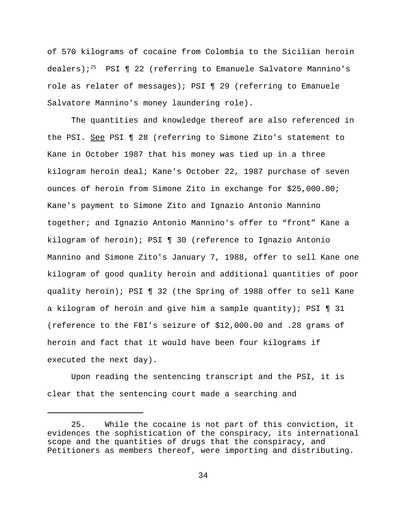of 570 kilograms of cocaine from Colombia to the Sicilian heroin dealers);<sup>25</sup> PSI  $\P$  22 (referring to Emanuele Salvatore Mannino's role as relater of messages); PSI ¶ 29 (referring to Emanuele Salvatore Mannino's money laundering role).

The quantities and knowledge thereof are also referenced in the PSI. See PSI ¶ 28 (referring to Simone Zito's statement to Kane in October 1987 that his money was tied up in a three kilogram heroin deal; Kane's October 22, 1987 purchase of seven ounces of heroin from Simone Zito in exchange for \$25,000.00; Kane's payment to Simone Zito and Ignazio Antonio Mannino together; and Ignazio Antonio Mannino's offer to "front" Kane a kilogram of heroin); PSI ¶ 30 (reference to Ignazio Antonio Mannino and Simone Zito's January 7, 1988, offer to sell Kane one kilogram of good quality heroin and additional quantities of poor quality heroin); PSI ¶ 32 (the Spring of 1988 offer to sell Kane a kilogram of heroin and give him a sample quantity); PSI ¶ 31 (reference to the FBI's seizure of \$12,000.00 and .28 grams of heroin and fact that it would have been four kilograms if executed the next day).

Upon reading the sentencing transcript and the PSI, it is clear that the sentencing court made a searching and

<sup>25.</sup> While the cocaine is not part of this conviction, it evidences the sophistication of the conspiracy, its international scope and the quantities of drugs that the conspiracy, and Petitioners as members thereof, were importing and distributing.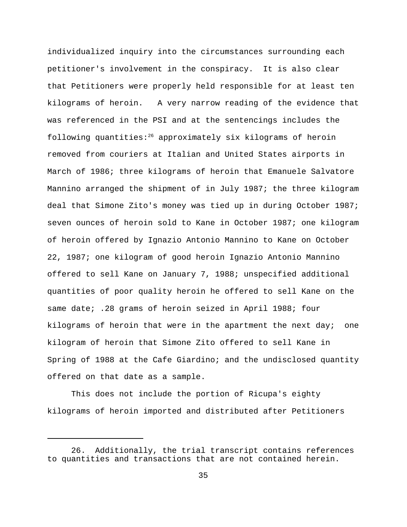individualized inquiry into the circumstances surrounding each petitioner's involvement in the conspiracy. It is also clear that Petitioners were properly held responsible for at least ten kilograms of heroin. A very narrow reading of the evidence that was referenced in the PSI and at the sentencings includes the following quantities: $26$  approximately six kilograms of heroin removed from couriers at Italian and United States airports in March of 1986; three kilograms of heroin that Emanuele Salvatore Mannino arranged the shipment of in July 1987; the three kilogram deal that Simone Zito's money was tied up in during October 1987; seven ounces of heroin sold to Kane in October 1987; one kilogram of heroin offered by Ignazio Antonio Mannino to Kane on October 22, 1987; one kilogram of good heroin Ignazio Antonio Mannino offered to sell Kane on January 7, 1988; unspecified additional quantities of poor quality heroin he offered to sell Kane on the same date; .28 grams of heroin seized in April 1988; four kilograms of heroin that were in the apartment the next day; one kilogram of heroin that Simone Zito offered to sell Kane in Spring of 1988 at the Cafe Giardino; and the undisclosed quantity offered on that date as a sample.

This does not include the portion of Ricupa's eighty kilograms of heroin imported and distributed after Petitioners

<sup>26.</sup> Additionally, the trial transcript contains references to quantities and transactions that are not contained herein.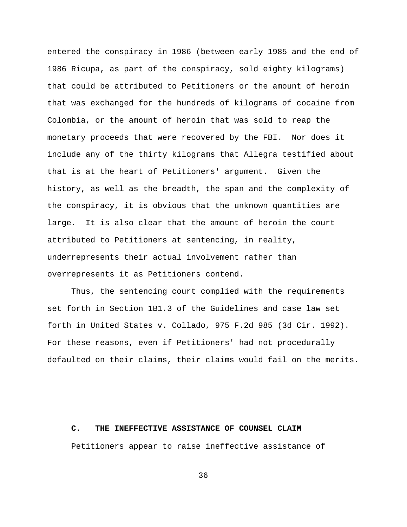entered the conspiracy in 1986 (between early 1985 and the end of 1986 Ricupa, as part of the conspiracy, sold eighty kilograms) that could be attributed to Petitioners or the amount of heroin that was exchanged for the hundreds of kilograms of cocaine from Colombia, or the amount of heroin that was sold to reap the monetary proceeds that were recovered by the FBI. Nor does it include any of the thirty kilograms that Allegra testified about that is at the heart of Petitioners' argument. Given the history, as well as the breadth, the span and the complexity of the conspiracy, it is obvious that the unknown quantities are large. It is also clear that the amount of heroin the court attributed to Petitioners at sentencing, in reality, underrepresents their actual involvement rather than overrepresents it as Petitioners contend.

Thus, the sentencing court complied with the requirements set forth in Section 1B1.3 of the Guidelines and case law set forth in United States v. Collado, 975 F.2d 985 (3d Cir. 1992). For these reasons, even if Petitioners' had not procedurally defaulted on their claims, their claims would fail on the merits.

#### **C. THE INEFFECTIVE ASSISTANCE OF COUNSEL CLAIM**

Petitioners appear to raise ineffective assistance of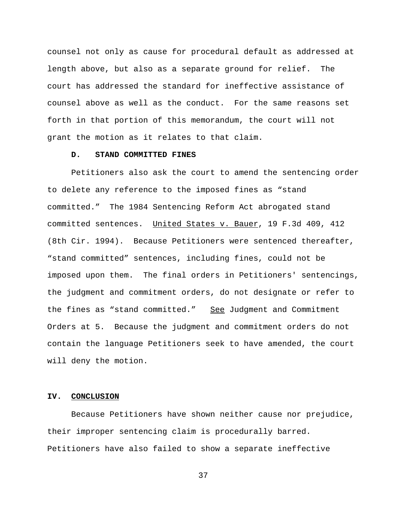counsel not only as cause for procedural default as addressed at length above, but also as a separate ground for relief. The court has addressed the standard for ineffective assistance of counsel above as well as the conduct. For the same reasons set forth in that portion of this memorandum, the court will not grant the motion as it relates to that claim.

### **D. STAND COMMITTED FINES**

Petitioners also ask the court to amend the sentencing order to delete any reference to the imposed fines as "stand committed." The 1984 Sentencing Reform Act abrogated stand committed sentences. United States v. Bauer, 19 F.3d 409, 412 (8th Cir. 1994). Because Petitioners were sentenced thereafter, "stand committed" sentences, including fines, could not be imposed upon them. The final orders in Petitioners' sentencings, the judgment and commitment orders, do not designate or refer to the fines as "stand committed." See Judgment and Commitment Orders at 5. Because the judgment and commitment orders do not contain the language Petitioners seek to have amended, the court will deny the motion.

### **IV. CONCLUSION**

Because Petitioners have shown neither cause nor prejudice, their improper sentencing claim is procedurally barred. Petitioners have also failed to show a separate ineffective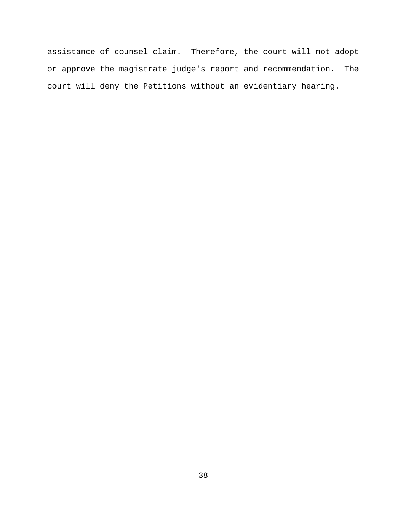assistance of counsel claim. Therefore, the court will not adopt or approve the magistrate judge's report and recommendation. The court will deny the Petitions without an evidentiary hearing.